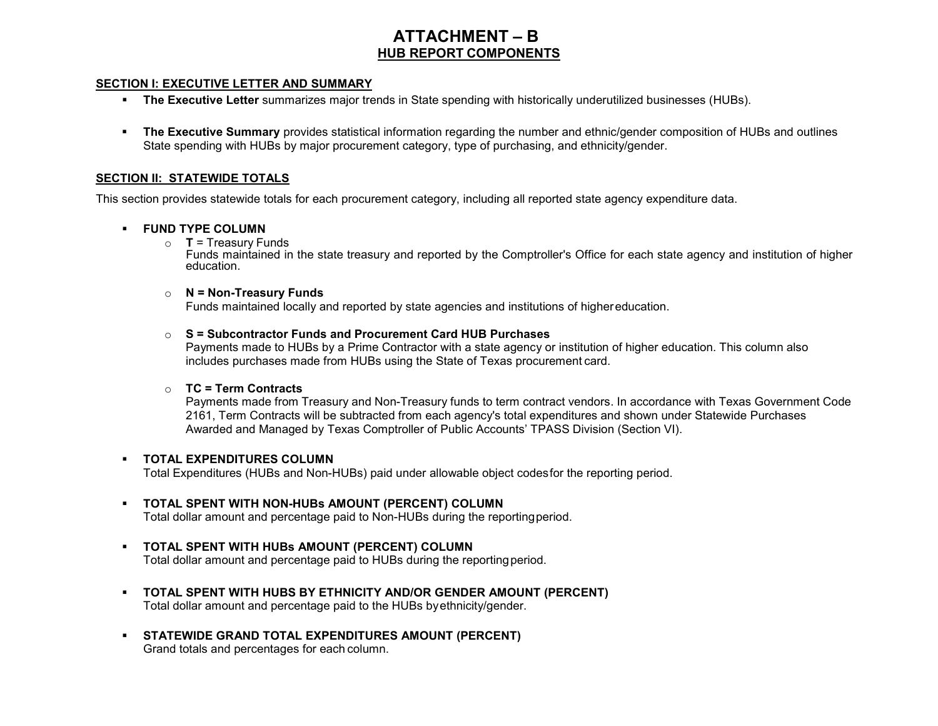# **ATTACHMENT – B HUB REPORT COMPONENTS**

#### **SECTION I: EXECUTIVE LETTER AND SUMMARY**

- **The Executive Letter** summarizes major trends in State spending with historically underutilized businesses (HUBs).
- **The Executive Summary** provides statistical information regarding the number and ethnic/gender composition of HUBs and outlines State spending with HUBs by major procurement category, type of purchasing, and ethnicity/gender.

#### **SECTION II: STATEWIDE TOTALS**

This section provides statewide totals for each procurement category, including all reported state agency expenditure data.

### **FUND TYPE COLUMN**

o **T** = Treasury Funds

Funds maintained in the state treasury and reported by the Comptroller's Office for each state agency and institution of higher education.

### o **N = Non-Treasury Funds**

Funds maintained locally and reported by state agencies and institutions of highereducation.

### o **S = Subcontractor Funds and Procurement Card HUB Purchases**

Payments made to HUBs by a Prime Contractor with a state agency or institution of higher education. This column also includes purchases made from HUBs using the State of Texas procurement card.

### o **TC = Term Contracts**

Payments made from Treasury and Non-Treasury funds to term contract vendors. In accordance with Texas Government Code 2161, Term Contracts will be subtracted from each agency's total expenditures and shown under Statewide Purchases Awarded and Managed by Texas Comptroller of Public Accounts' TPASS Division (Section VI).

### **TOTAL EXPENDITURES COLUMN**

Total Expenditures (HUBs and Non-HUBs) paid under allowable object codesfor the reporting period.

# **TOTAL SPENT WITH NON-HUBs AMOUNT (PERCENT) COLUMN**

Total dollar amount and percentage paid to Non-HUBs during the reportingperiod.

- **TOTAL SPENT WITH HUBs AMOUNT (PERCENT) COLUMN** Total dollar amount and percentage paid to HUBs during the reportingperiod.
- **TOTAL SPENT WITH HUBS BY ETHNICITY AND/OR GENDER AMOUNT (PERCENT)** Total dollar amount and percentage paid to the HUBs byethnicity/gender.
- **STATEWIDE GRAND TOTAL EXPENDITURES AMOUNT (PERCENT)** Grand totals and percentages for each column.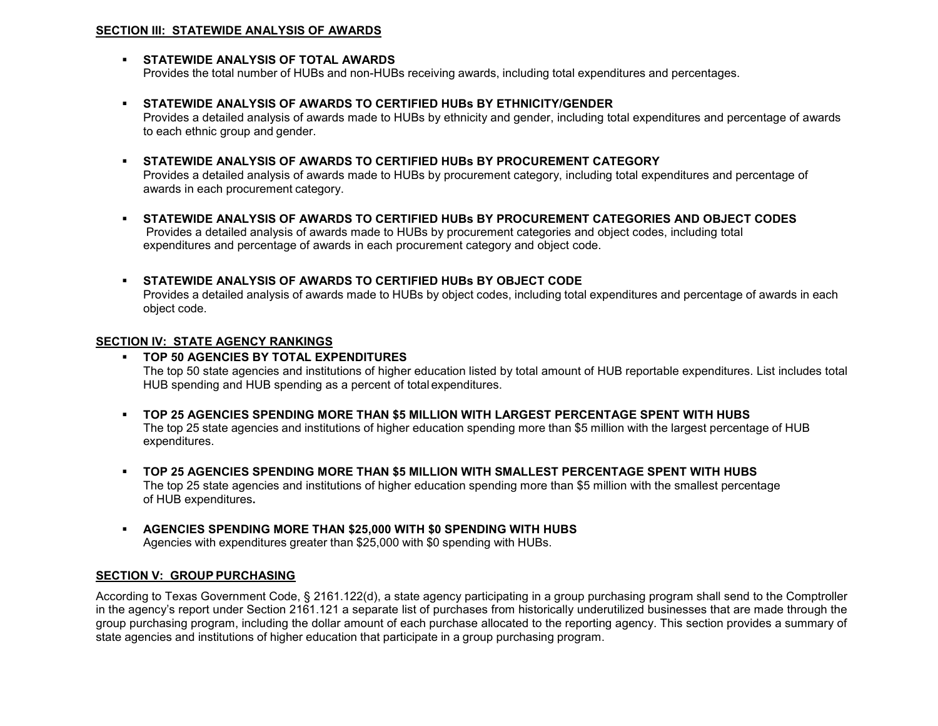### **SECTION III: STATEWIDE ANALYSIS OF AWARDS**

# **STATEWIDE ANALYSIS OF TOTAL AWARDS**

Provides the total number of HUBs and non-HUBs receiving awards, including total expenditures and percentages.

# **STATEWIDE ANALYSIS OF AWARDS TO CERTIFIED HUBs BY ETHNICITY/GENDER**

Provides a detailed analysis of awards made to HUBs by ethnicity and gender, including total expenditures and percentage of awards to each ethnic group and gender.

# **STATEWIDE ANALYSIS OF AWARDS TO CERTIFIED HUBs BY PROCUREMENT CATEGORY**

Provides a detailed analysis of awards made to HUBs by procurement category, including total expenditures and percentage of awards in each procurement category.

 **STATEWIDE ANALYSIS OF AWARDS TO CERTIFIED HUBs BY PROCUREMENT CATEGORIES AND OBJECT CODES** Provides a detailed analysis of awards made to HUBs by procurement categories and object codes, including total expenditures and percentage of awards in each procurement category and object code.

# **STATEWIDE ANALYSIS OF AWARDS TO CERTIFIED HUBs BY OBJECT CODE**

Provides a detailed analysis of awards made to HUBs by object codes, including total expenditures and percentage of awards in each object code.

# **SECTION IV: STATE AGENCY RANKINGS**

# **TOP 50 AGENCIES BY TOTAL EXPENDITURES**

The top 50 state agencies and institutions of higher education listed by total amount of HUB reportable expenditures. List includes total HUB spending and HUB spending as a percent of total expenditures.

- **TOP 25 AGENCIES SPENDING MORE THAN \$5 MILLION WITH LARGEST PERCENTAGE SPENT WITH HUBS** The top 25 state agencies and institutions of higher education spending more than \$5 million with the largest percentage of HUB expenditures.
- **TOP 25 AGENCIES SPENDING MORE THAN \$5 MILLION WITH SMALLEST PERCENTAGE SPENT WITH HUBS** The top 25 state agencies and institutions of higher education spending more than \$5 million with the smallest percentage of HUB expenditures**.**
- **AGENCIES SPENDING MORE THAN \$25,000 WITH \$0 SPENDING WITH HUBS** Agencies with expenditures greater than \$25,000 with \$0 spending with HUBs.

# **SECTION V: GROUP PURCHASING**

According to Texas Government Code, § 2161.122(d), a state agency participating in a group purchasing program shall send to the Comptroller in the agency's report under Section 2161.121 a separate list of purchases from historically underutilized businesses that are made through the group purchasing program, including the dollar amount of each purchase allocated to the reporting agency. This section provides a summary of state agencies and institutions of higher education that participate in a group purchasing program.